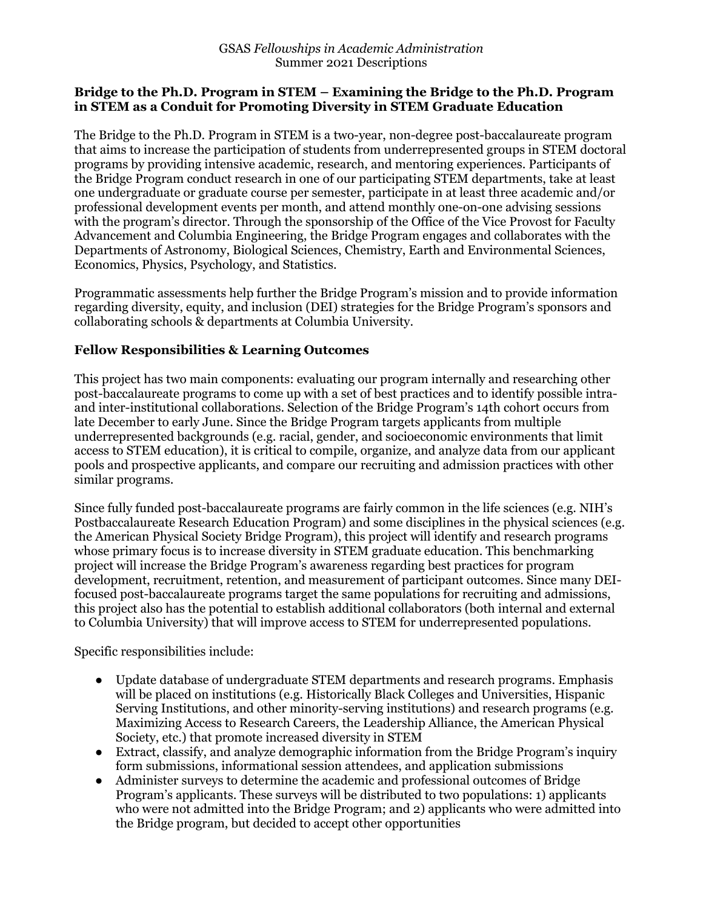#### **Bridge to the Ph.D. Program in STEM – Examining the Bridge to the Ph.D. Program in STEM as a Conduit for Promoting Diversity in STEM Graduate Education**

The Bridge to the Ph.D. Program in STEM is a two-year, non-degree post-baccalaureate program that aims to increase the participation of students from underrepresented groups in STEM doctoral programs by providing intensive academic, research, and mentoring experiences. Participants of the Bridge Program conduct research in one of our participating STEM departments, take at least one undergraduate or graduate course per semester, participate in at least three academic and/or professional development events per month, and attend monthly one-on-one advising sessions with the program's director. Through the sponsorship of the Office of the Vice Provost for Faculty Advancement and Columbia Engineering, the Bridge Program engages and collaborates with the Departments of Astronomy, Biological Sciences, Chemistry, Earth and Environmental Sciences, Economics, Physics, Psychology, and Statistics.

Programmatic assessments help further the Bridge Program's mission and to provide information regarding diversity, equity, and inclusion (DEI) strategies for the Bridge Program's sponsors and collaborating schools & departments at Columbia University.

## **Fellow Responsibilities & Learning Outcomes**

This project has two main components: evaluating our program internally and researching other post-baccalaureate programs to come up with a set of best practices and to identify possible intraand inter-institutional collaborations. Selection of the Bridge Program's 14th cohort occurs from late December to early June. Since the Bridge Program targets applicants from multiple underrepresented backgrounds (e.g. racial, gender, and socioeconomic environments that limit access to STEM education), it is critical to compile, organize, and analyze data from our applicant pools and prospective applicants, and compare our recruiting and admission practices with other similar programs.

Since fully funded post-baccalaureate programs are fairly common in the life sciences (e.g. NIH's Postbaccalaureate Research Education Program) and some disciplines in the physical sciences (e.g. the American Physical Society Bridge Program), this project will identify and research programs whose primary focus is to increase diversity in STEM graduate education. This benchmarking project will increase the Bridge Program's awareness regarding best practices for program development, recruitment, retention, and measurement of participant outcomes. Since many DEIfocused post-baccalaureate programs target the same populations for recruiting and admissions, this project also has the potential to establish additional collaborators (both internal and external to Columbia University) that will improve access to STEM for underrepresented populations.

Specific responsibilities include:

- Update database of undergraduate STEM departments and research programs. Emphasis will be placed on institutions (e.g. Historically Black Colleges and Universities, Hispanic Serving Institutions, and other minority-serving institutions) and research programs (e.g. Maximizing Access to Research Careers, the Leadership Alliance, the American Physical Society, etc.) that promote increased diversity in STEM
- Extract, classify, and analyze demographic information from the Bridge Program's inquiry form submissions, informational session attendees, and application submissions
- Administer surveys to determine the academic and professional outcomes of Bridge Program's applicants. These surveys will be distributed to two populations: 1) applicants who were not admitted into the Bridge Program; and 2) applicants who were admitted into the Bridge program, but decided to accept other opportunities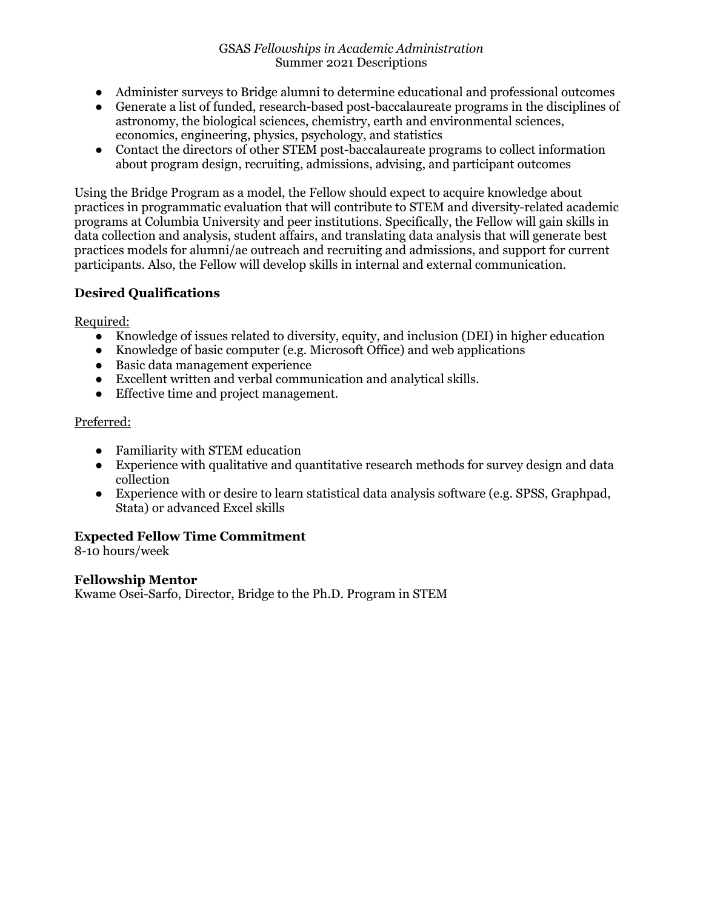- Administer surveys to Bridge alumni to determine educational and professional outcomes
- Generate a list of funded, research-based post-baccalaureate programs in the disciplines of astronomy, the biological sciences, chemistry, earth and environmental sciences, economics, engineering, physics, psychology, and statistics
- Contact the directors of other STEM post-baccalaureate programs to collect information about program design, recruiting, admissions, advising, and participant outcomes

Using the Bridge Program as a model, the Fellow should expect to acquire knowledge about practices in programmatic evaluation that will contribute to STEM and diversity-related academic programs at Columbia University and peer institutions. Specifically, the Fellow will gain skills in data collection and analysis, student affairs, and translating data analysis that will generate best practices models for alumni/ae outreach and recruiting and admissions, and support for current participants. Also, the Fellow will develop skills in internal and external communication.

# **Desired Qualifications**

Required:

- Knowledge of issues related to diversity, equity, and inclusion (DEI) in higher education
- Knowledge of basic computer (e.g. Microsoft Office) and web applications
- Basic data management experience
- Excellent written and verbal communication and analytical skills.
- Effective time and project management.

# Preferred:

- Familiarity with STEM education
- Experience with qualitative and quantitative research methods for survey design and data collection
- Experience with or desire to learn statistical data analysis software (e.g. SPSS, Graphpad, Stata) or advanced Excel skills

# **Expected Fellow Time Commitment**

8-10 hours/week

## **Fellowship Mentor**

Kwame Osei-Sarfo, Director, Bridge to the Ph.D. Program in STEM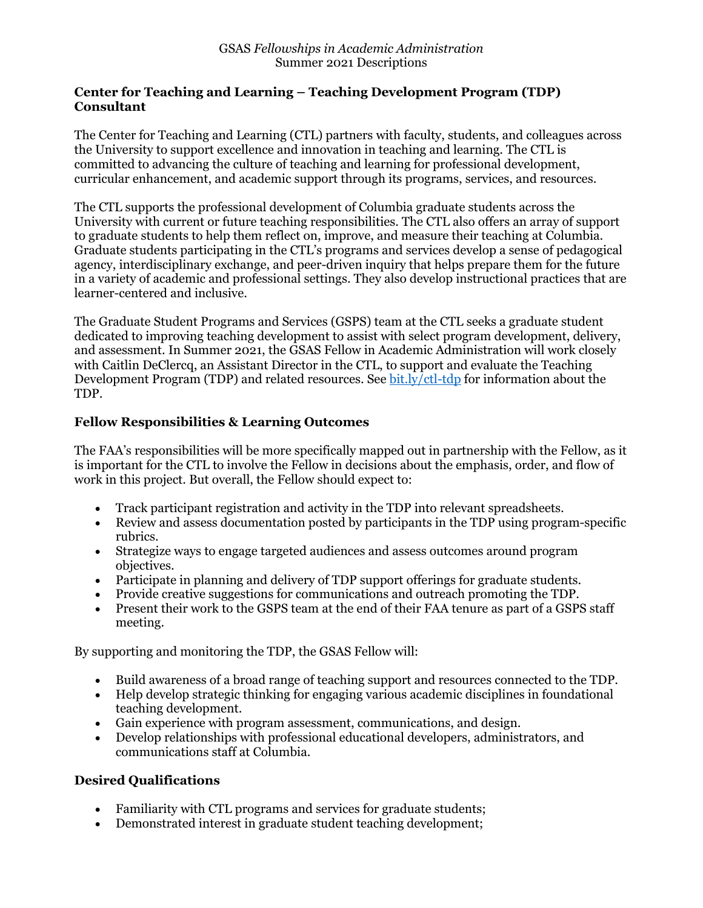### **Center for Teaching and Learning – Teaching Development Program (TDP) Consultant**

The Center for Teaching and Learning (CTL) partners with faculty, students, and colleagues across the University to support excellence and innovation in teaching and learning. The CTL is committed to advancing the culture of teaching and learning for professional development, curricular enhancement, and academic support through its programs, services, and resources.

The CTL supports the professional development of Columbia graduate students across the University with current or future teaching responsibilities. The CTL also offers an array of support to graduate students to help them reflect on, improve, and measure their teaching at Columbia. Graduate students participating in the CTL's programs and services develop a sense of pedagogical agency, interdisciplinary exchange, and peer-driven inquiry that helps prepare them for the future in a variety of academic and professional settings. They also develop instructional practices that are learner-centered and inclusive.

The Graduate Student Programs and Services (GSPS) team at the CTL seeks a graduate student dedicated to improving teaching development to assist with select program development, delivery, and assessment. In Summer 2021, the GSAS Fellow in Academic Administration will work closely with Caitlin DeClercq, an Assistant Director in the CTL, to support and evaluate the Teaching Development Program (TDP) and related resources. See bit.ly/ctl-tdp for information about the TDP.

## **Fellow Responsibilities & Learning Outcomes**

The FAA's responsibilities will be more specifically mapped out in partnership with the Fellow, as it is important for the CTL to involve the Fellow in decisions about the emphasis, order, and flow of work in this project. But overall, the Fellow should expect to:

- Track participant registration and activity in the TDP into relevant spreadsheets.
- Review and assess documentation posted by participants in the TDP using program-specific rubrics.
- Strategize ways to engage targeted audiences and assess outcomes around program objectives.
- Participate in planning and delivery of TDP support offerings for graduate students.
- Provide creative suggestions for communications and outreach promoting the TDP.
- Present their work to the GSPS team at the end of their FAA tenure as part of a GSPS staff meeting.

By supporting and monitoring the TDP, the GSAS Fellow will:

- Build awareness of a broad range of teaching support and resources connected to the TDP.
- Help develop strategic thinking for engaging various academic disciplines in foundational teaching development.
- Gain experience with program assessment, communications, and design.
- Develop relationships with professional educational developers, administrators, and communications staff at Columbia.

## **Desired Qualifications**

- Familiarity with CTL programs and services for graduate students;
- Demonstrated interest in graduate student teaching development;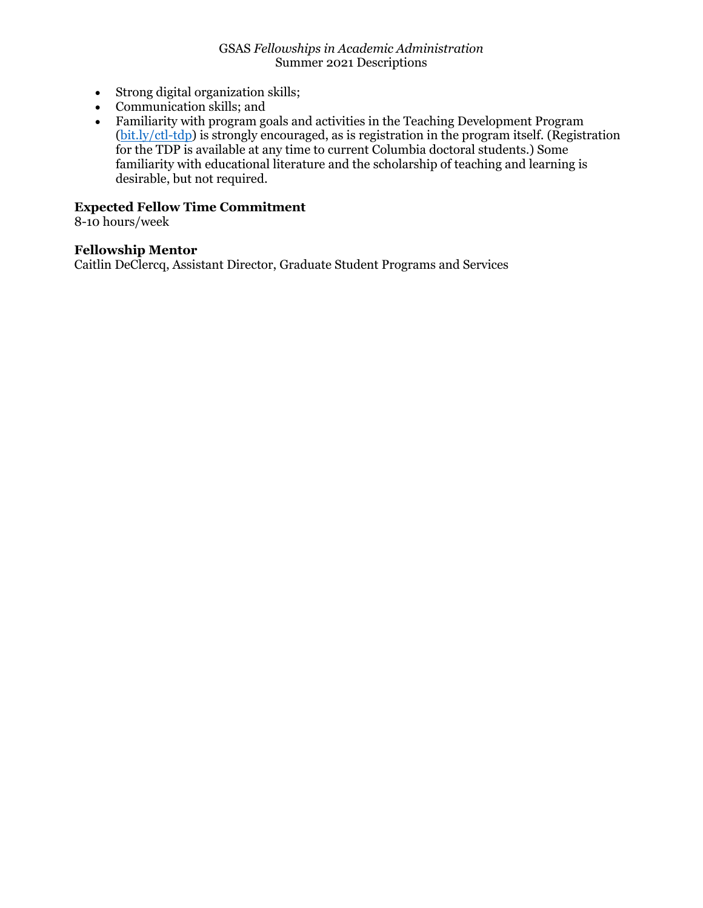- Strong digital organization skills;
- Communication skills; and
- Familiarity with program goals and activities in the Teaching Development Program (bit.ly/ctl-tdp) is strongly encouraged, as is registration in the program itself. (Registration for the TDP is available at any time to current Columbia doctoral students.) Some familiarity with educational literature and the scholarship of teaching and learning is desirable, but not required.

## **Expected Fellow Time Commitment**

8-10 hours/week

#### **Fellowship Mentor**

Caitlin DeClercq, Assistant Director, Graduate Student Programs and Services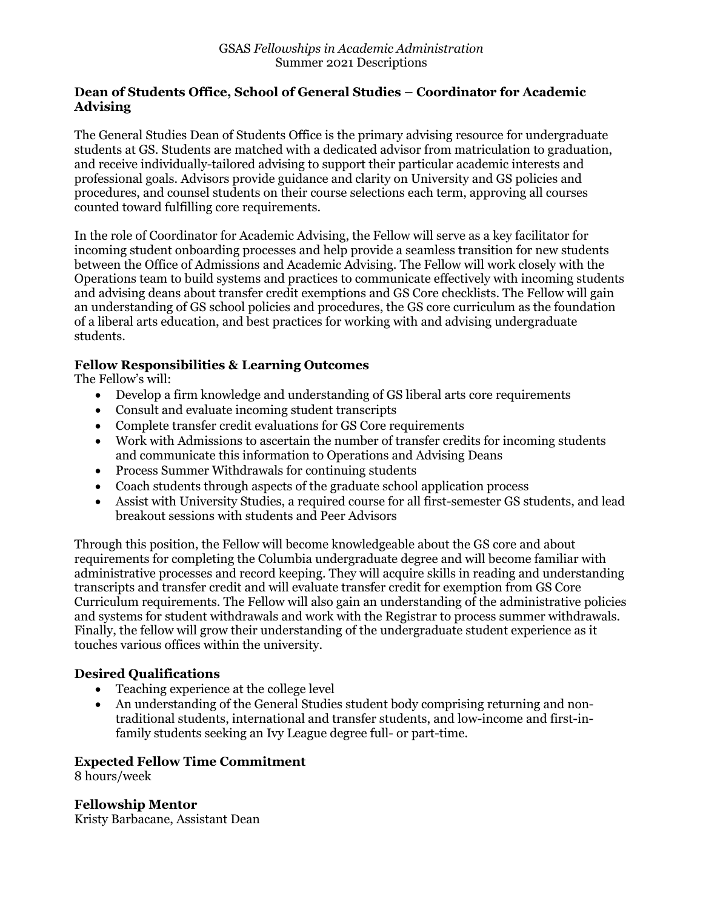### **Dean of Students Office, School of General Studies – Coordinator for Academic Advising**

The General Studies Dean of Students Office is the primary advising resource for undergraduate students at GS. Students are matched with a dedicated advisor from matriculation to graduation, and receive individually-tailored advising to support their particular academic interests and professional goals. Advisors provide guidance and clarity on University and GS policies and procedures, and counsel students on their course selections each term, approving all courses counted toward fulfilling core requirements.

In the role of Coordinator for Academic Advising, the Fellow will serve as a key facilitator for incoming student onboarding processes and help provide a seamless transition for new students between the Office of Admissions and Academic Advising. The Fellow will work closely with the Operations team to build systems and practices to communicate effectively with incoming students and advising deans about transfer credit exemptions and GS Core checklists. The Fellow will gain an understanding of GS school policies and procedures, the GS core curriculum as the foundation of a liberal arts education, and best practices for working with and advising undergraduate students.

## **Fellow Responsibilities & Learning Outcomes**

The Fellow's will:

- Develop a firm knowledge and understanding of GS liberal arts core requirements
- Consult and evaluate incoming student transcripts
- Complete transfer credit evaluations for GS Core requirements
- Work with Admissions to ascertain the number of transfer credits for incoming students and communicate this information to Operations and Advising Deans
- Process Summer Withdrawals for continuing students
- Coach students through aspects of the graduate school application process
- Assist with University Studies, a required course for all first-semester GS students, and lead breakout sessions with students and Peer Advisors

Through this position, the Fellow will become knowledgeable about the GS core and about requirements for completing the Columbia undergraduate degree and will become familiar with administrative processes and record keeping. They will acquire skills in reading and understanding transcripts and transfer credit and will evaluate transfer credit for exemption from GS Core Curriculum requirements. The Fellow will also gain an understanding of the administrative policies and systems for student withdrawals and work with the Registrar to process summer withdrawals. Finally, the fellow will grow their understanding of the undergraduate student experience as it touches various offices within the university.

## **Desired Qualifications**

- Teaching experience at the college level
- An understanding of the General Studies student body comprising returning and nontraditional students, international and transfer students, and low-income and first-infamily students seeking an Ivy League degree full- or part-time.

### **Expected Fellow Time Commitment**

8 hours/week

**Fellowship Mentor** Kristy Barbacane, Assistant Dean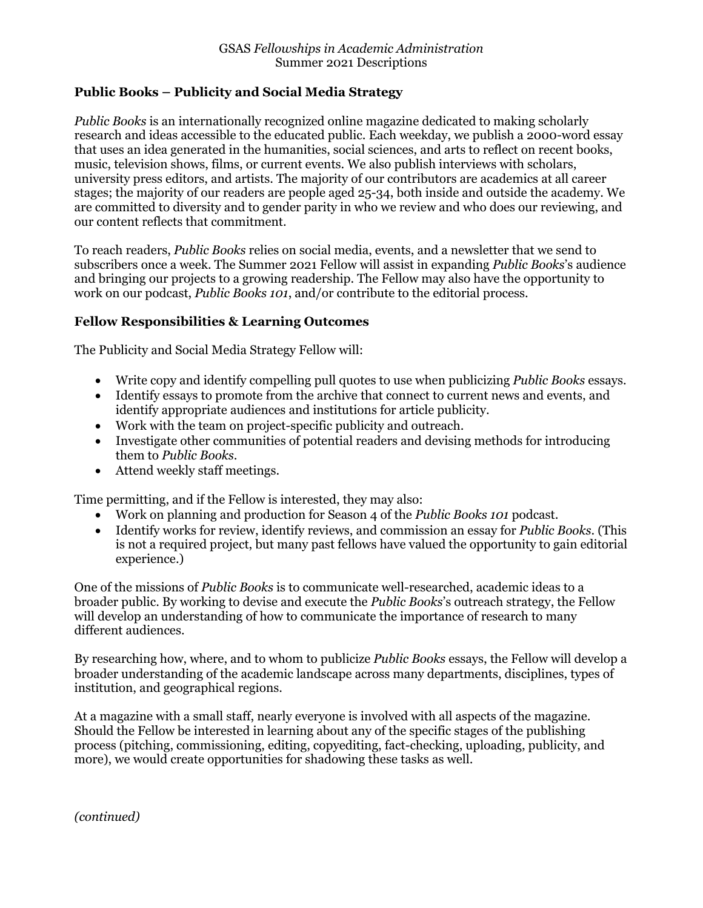## **Public Books – Publicity and Social Media Strategy**

*Public Books* is an internationally recognized online magazine dedicated to making scholarly research and ideas accessible to the educated public. Each weekday, we publish a 2000-word essay that uses an idea generated in the humanities, social sciences, and arts to reflect on recent books, music, television shows, films, or current events. We also publish interviews with scholars, university press editors, and artists. The majority of our contributors are academics at all career stages; the majority of our readers are people aged 25-34, both inside and outside the academy. We are committed to diversity and to gender parity in who we review and who does our reviewing, and our content reflects that commitment.

To reach readers, *Public Books* relies on social media, events, and a newsletter that we send to subscribers once a week. The Summer 2021 Fellow will assist in expanding *Public Books*'s audience and bringing our projects to a growing readership. The Fellow may also have the opportunity to work on our podcast, *Public Books 101*, and/or contribute to the editorial process.

## **Fellow Responsibilities & Learning Outcomes**

The Publicity and Social Media Strategy Fellow will:

- Write copy and identify compelling pull quotes to use when publicizing *Public Books* essays.
- Identify essays to promote from the archive that connect to current news and events, and identify appropriate audiences and institutions for article publicity.
- Work with the team on project-specific publicity and outreach.
- Investigate other communities of potential readers and devising methods for introducing them to *Public Books*.
- Attend weekly staff meetings.

Time permitting, and if the Fellow is interested, they may also:

- Work on planning and production for Season 4 of the *Public Books 101* podcast.
- Identify works for review, identify reviews, and commission an essay for *Public Books*. (This is not a required project, but many past fellows have valued the opportunity to gain editorial experience.)

One of the missions of *Public Books* is to communicate well-researched, academic ideas to a broader public. By working to devise and execute the *Public Books*'s outreach strategy, the Fellow will develop an understanding of how to communicate the importance of research to many different audiences.

By researching how, where, and to whom to publicize *Public Books* essays, the Fellow will develop a broader understanding of the academic landscape across many departments, disciplines, types of institution, and geographical regions.

At a magazine with a small staff, nearly everyone is involved with all aspects of the magazine. Should the Fellow be interested in learning about any of the specific stages of the publishing process (pitching, commissioning, editing, copyediting, fact-checking, uploading, publicity, and more), we would create opportunities for shadowing these tasks as well.

*(continued)*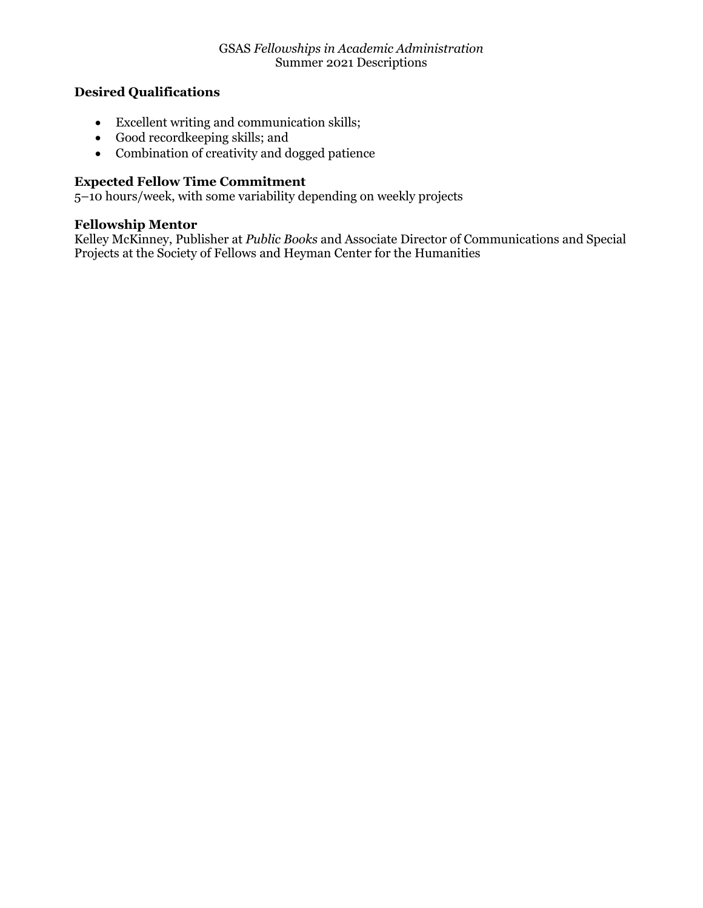## **Desired Qualifications**

- Excellent writing and communication skills;
- Good recordkeeping skills; and
- Combination of creativity and dogged patience

## **Expected Fellow Time Commitment**

5–10 hours/week, with some variability depending on weekly projects

#### **Fellowship Mentor**

Kelley McKinney, Publisher at *Public Books* and Associate Director of Communications and Special Projects at the Society of Fellows and Heyman Center for the Humanities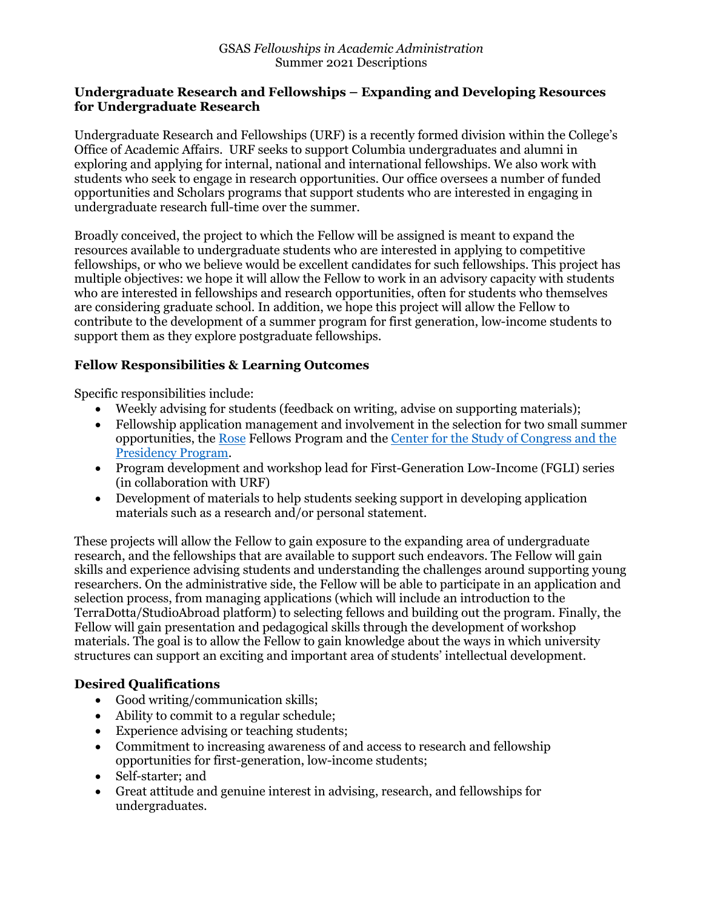#### **Undergraduate Research and Fellowships – Expanding and Developing Resources for Undergraduate Research**

Undergraduate Research and Fellowships (URF) is a recently formed division within the College's Office of Academic Affairs. URF seeks to support Columbia undergraduates and alumni in exploring and applying for internal, national and international fellowships. We also work with students who seek to engage in research opportunities. Our office oversees a number of funded opportunities and Scholars programs that support students who are interested in engaging in undergraduate research full-time over the summer.

Broadly conceived, the project to which the Fellow will be assigned is meant to expand the resources available to undergraduate students who are interested in applying to competitive fellowships, or who we believe would be excellent candidates for such fellowships. This project has multiple objectives: we hope it will allow the Fellow to work in an advisory capacity with students who are interested in fellowships and research opportunities, often for students who themselves are considering graduate school. In addition, we hope this project will allow the Fellow to contribute to the development of a summer program for first generation, low-income students to support them as they explore postgraduate fellowships.

## **Fellow Responsibilities & Learning Outcomes**

Specific responsibilities include:

- Weekly advising for students (feedback on writing, advise on supporting materials);
- Fellowship application management and involvement in the selection for two small summer opportunities, the Rose Fellows Program and the Center for the Study of Congress and the Presidency Program.
- Program development and workshop lead for First-Generation Low-Income (FGLI) series (in collaboration with URF)
- Development of materials to help students seeking support in developing application materials such as a research and/or personal statement.

These projects will allow the Fellow to gain exposure to the expanding area of undergraduate research, and the fellowships that are available to support such endeavors. The Fellow will gain skills and experience advising students and understanding the challenges around supporting young researchers. On the administrative side, the Fellow will be able to participate in an application and selection process, from managing applications (which will include an introduction to the TerraDotta/StudioAbroad platform) to selecting fellows and building out the program. Finally, the Fellow will gain presentation and pedagogical skills through the development of workshop materials. The goal is to allow the Fellow to gain knowledge about the ways in which university structures can support an exciting and important area of students' intellectual development.

## **Desired Qualifications**

- Good writing/communication skills;
- Ability to commit to a regular schedule;
- Experience advising or teaching students;
- Commitment to increasing awareness of and access to research and fellowship opportunities for first-generation, low-income students;
- Self-starter; and
- Great attitude and genuine interest in advising, research, and fellowships for undergraduates.